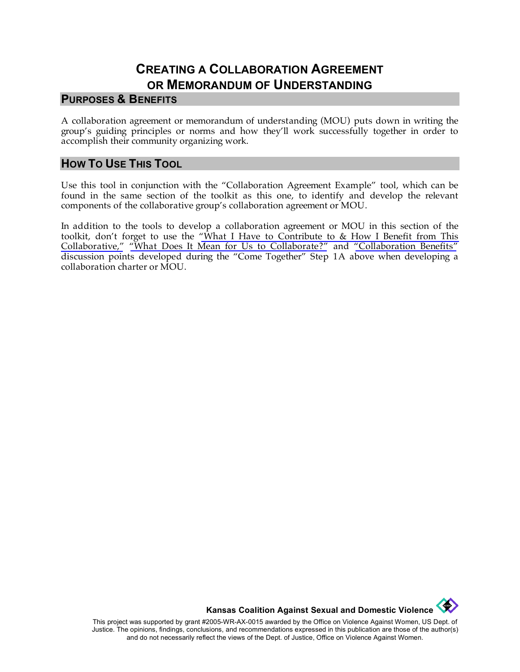## **CREATING A COLLABORATION AGREEMENT OR MEMORANDUM OF UNDERSTANDING**

## **PURPOSES & BENEFITS**

A collaboration agreement or memorandum of understanding (MOU) puts down in writing the group's guiding principles or norms and how they'll work successfully together in order to accomplish their community organizing work.

## **HOW TO USE THIS TOOL**

Use this tool in conjunction with the "Collaboration Agreement Example" tool, which can be found in the same section of the toolkit as this one, to identify and develop the relevant components of the collaborative group's collaboration agreement or MOU.

In addition to the tools to develop a collaboration agreement or MOU in this section of the toolkit, don't forget to use the ["What I Have to Contribute to & How I Benefit from This](http://www.kcsdv.org/toolkit/commorgtoolkit.html#ContributeandBenefit)  [Collaborative,"](http://www.kcsdv.org/toolkit/commorgtoolkit.html#ContributeandBenefit) ["What Does It Mean for Us to Collaborate?"](http://www.kcsdv.org/toolkit/commorgtoolkit.html#Collaborate) and ["Collaboration Benefits"](http://www.kcsdv.org/toolkit/commorgtoolkit.html#CollaborationBenefits) discussion points developed during the "Come Together" Step 1A above when developing a collaboration charter or MOU.



This project was supported by grant #2005-WR-AX-0015 awarded by the Office on Violence Against Women, US Dept. of Justice. The opinions, findings, conclusions, and recommendations expressed in this publication are those of the author(s) and do not necessarily reflect the views of the Dept. of Justice, Office on Violence Against Women.